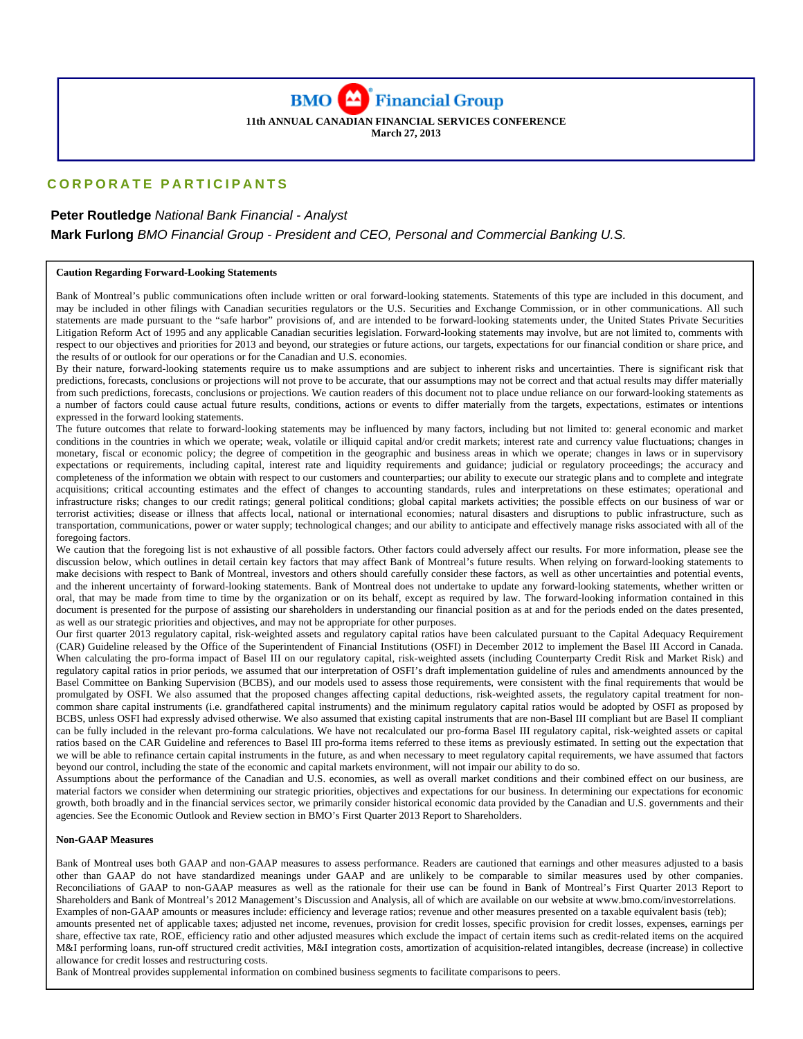**BMO** Financial Group **11th ANNUAL CANADIAN FINANCIAL SERVICES CONFERENCE** 

**March 27, 2013** 

# **CORPORATE PARTICIPANTS**

# **Peter Routledge** *National Bank Financial - Analyst*   **Mark Furlong** *BMO Financial Group - President and CEO, Personal and Commercial Banking U.S.*

#### **Caution Regarding Forward-Looking Statements**

Bank of Montreal's public communications often include written or oral forward-looking statements. Statements of this type are included in this document, and may be included in other filings with Canadian securities regulators or the U.S. Securities and Exchange Commission, or in other communications. All such statements are made pursuant to the "safe harbor" provisions of, and are intended to be forward-looking statements under, the United States Private Securities Litigation Reform Act of 1995 and any applicable Canadian securities legislation. Forward-looking statements may involve, but are not limited to, comments with respect to our objectives and priorities for 2013 and beyond, our strategies or future actions, our targets, expectations for our financial condition or share price, and the results of or outlook for our operations or for the Canadian and U.S. economies.

By their nature, forward-looking statements require us to make assumptions and are subject to inherent risks and uncertainties. There is significant risk that predictions, forecasts, conclusions or projections will not prove to be accurate, that our assumptions may not be correct and that actual results may differ materially from such predictions, forecasts, conclusions or projections. We caution readers of this document not to place undue reliance on our forward-looking statements as a number of factors could cause actual future results, conditions, actions or events to differ materially from the targets, expectations, estimates or intentions expressed in the forward looking statements.

The future outcomes that relate to forward-looking statements may be influenced by many factors, including but not limited to: general economic and market conditions in the countries in which we operate; weak, volatile or illiquid capital and/or credit markets; interest rate and currency value fluctuations; changes in monetary, fiscal or economic policy; the degree of competition in the geographic and business areas in which we operate; changes in laws or in supervisory expectations or requirements, including capital, interest rate and liquidity requirements and guidance; judicial or regulatory proceedings; the accuracy and completeness of the information we obtain with respect to our customers and counterparties; our ability to execute our strategic plans and to complete and integrate acquisitions; critical accounting estimates and the effect of changes to accounting standards, rules and interpretations on these estimates; operational and infrastructure risks; changes to our credit ratings; general political conditions; global capital markets activities; the possible effects on our business of war or terrorist activities; disease or illness that affects local, national or international economies; natural disasters and disruptions to public infrastructure, such as transportation, communications, power or water supply; technological changes; and our ability to anticipate and effectively manage risks associated with all of the foregoing factors.

We caution that the foregoing list is not exhaustive of all possible factors. Other factors could adversely affect our results. For more information, please see the discussion below, which outlines in detail certain key factors that may affect Bank of Montreal's future results. When relying on forward-looking statements to make decisions with respect to Bank of Montreal, investors and others should carefully consider these factors, as well as other uncertainties and potential events, and the inherent uncertainty of forward-looking statements. Bank of Montreal does not undertake to update any forward-looking statements, whether written or oral, that may be made from time to time by the organization or on its behalf, except as required by law. The forward-looking information contained in this document is presented for the purpose of assisting our shareholders in understanding our financial position as at and for the periods ended on the dates presented, as well as our strategic priorities and objectives, and may not be appropriate for other purposes.

Our first quarter 2013 regulatory capital, risk-weighted assets and regulatory capital ratios have been calculated pursuant to the Capital Adequacy Requirement (CAR) Guideline released by the Office of the Superintendent of Financial Institutions (OSFI) in December 2012 to implement the Basel III Accord in Canada. When calculating the pro-forma impact of Basel III on our regulatory capital, risk-weighted assets (including Counterparty Credit Risk and Market Risk) and regulatory capital ratios in prior periods, we assumed that our interpretation of OSFI's draft implementation guideline of rules and amendments announced by the Basel Committee on Banking Supervision (BCBS), and our models used to assess those requirements, were consistent with the final requirements that would be promulgated by OSFI. We also assumed that the proposed changes affecting capital deductions, risk-weighted assets, the regulatory capital treatment for noncommon share capital instruments (i.e. grandfathered capital instruments) and the minimum regulatory capital ratios would be adopted by OSFI as proposed by BCBS, unless OSFI had expressly advised otherwise. We also assumed that existing capital instruments that are non-Basel III compliant but are Basel II compliant can be fully included in the relevant pro-forma calculations. We have not recalculated our pro-forma Basel III regulatory capital, risk-weighted assets or capital ratios based on the CAR Guideline and references to Basel III pro-forma items referred to these items as previously estimated. In setting out the expectation that we will be able to refinance certain capital instruments in the future, as and when necessary to meet regulatory capital requirements, we have assumed that factors beyond our control, including the state of the economic and capital markets environment, will not impair our ability to do so.

Assumptions about the performance of the Canadian and U.S. economies, as well as overall market conditions and their combined effect on our business, are material factors we consider when determining our strategic priorities, objectives and expectations for our business. In determining our expectations for economic growth, both broadly and in the financial services sector, we primarily consider historical economic data provided by the Canadian and U.S. governments and their agencies. See the Economic Outlook and Review section in BMO's First Quarter 2013 Report to Shareholders.

#### **Non-GAAP Measures**

Bank of Montreal uses both GAAP and non-GAAP measures to assess performance. Readers are cautioned that earnings and other measures adjusted to a basis other than GAAP do not have standardized meanings under GAAP and are unlikely to be comparable to similar measures used by other companies. Reconciliations of GAAP to non-GAAP measures as well as the rationale for their use can be found in Bank of Montreal's First Quarter 2013 Report to Shareholders and Bank of Montreal's 2012 Management's Discussion and Analysis, all of which are available on our website at www.bmo.com/investorrelations. Examples of non-GAAP amounts or measures include: efficiency and leverage ratios; revenue and other measures presented on a taxable equivalent basis (teb); amounts presented net of applicable taxes; adjusted net income, revenues, provision for credit losses, specific provision for credit losses, expenses, earnings per share, effective tax rate, ROE, efficiency ratio and other adjusted measures which exclude the impact of certain items such as credit-related items on the acquired M&I performing loans, run-off structured credit activities, M&I integration costs, amortization of acquisition-related intangibles, decrease (increase) in collective allowance for credit losses and restructuring costs.

Bank of Montreal provides supplemental information on combined business segments to facilitate comparisons to peers.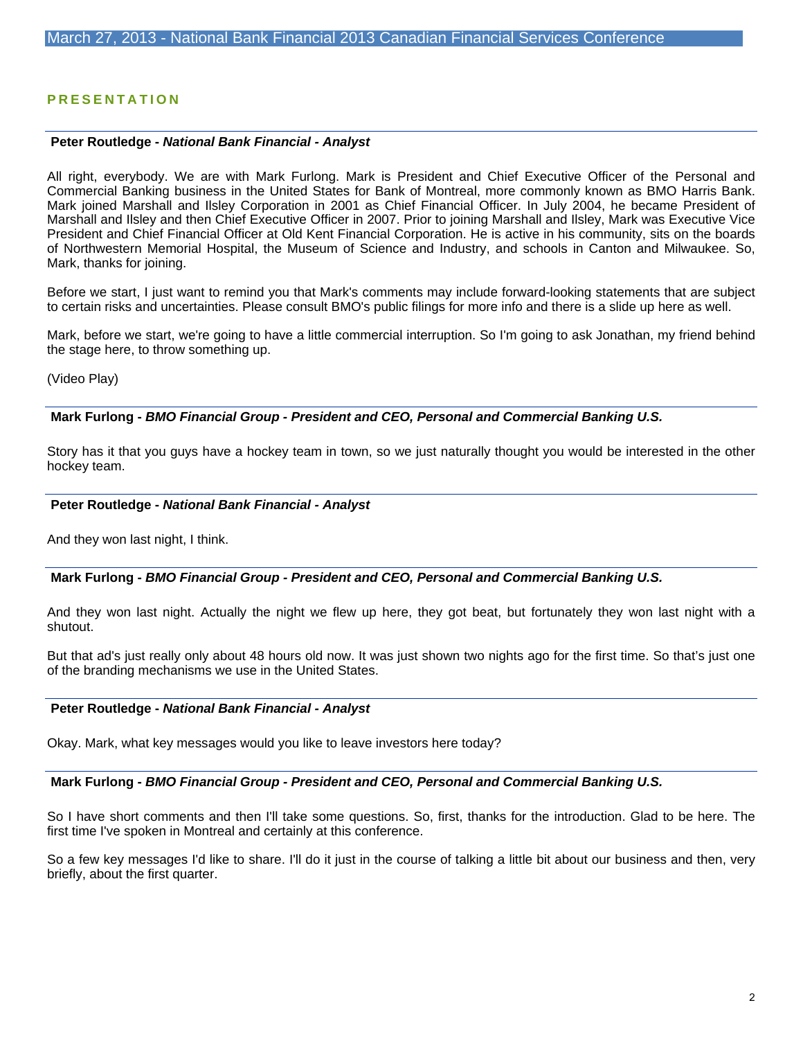# **PRESENTATION**

#### **Peter Routledge -** *National Bank Financial - Analyst*

All right, everybody. We are with Mark Furlong. Mark is President and Chief Executive Officer of the Personal and Commercial Banking business in the United States for Bank of Montreal, more commonly known as BMO Harris Bank. Mark joined Marshall and Ilsley Corporation in 2001 as Chief Financial Officer. In July 2004, he became President of Marshall and Ilsley and then Chief Executive Officer in 2007. Prior to joining Marshall and Ilsley, Mark was Executive Vice President and Chief Financial Officer at Old Kent Financial Corporation. He is active in his community, sits on the boards of Northwestern Memorial Hospital, the Museum of Science and Industry, and schools in Canton and Milwaukee. So, Mark, thanks for joining.

Before we start, I just want to remind you that Mark's comments may include forward-looking statements that are subject to certain risks and uncertainties. Please consult BMO's public filings for more info and there is a slide up here as well.

Mark, before we start, we're going to have a little commercial interruption. So I'm going to ask Jonathan, my friend behind the stage here, to throw something up.

(Video Play)

### **Mark Furlong -** *BMO Financial Group - President and CEO, Personal and Commercial Banking U.S.*

Story has it that you guys have a hockey team in town, so we just naturally thought you would be interested in the other hockey team.

#### **Peter Routledge -** *National Bank Financial - Analyst*

And they won last night, I think.

#### **Mark Furlong -** *BMO Financial Group - President and CEO, Personal and Commercial Banking U.S.*

And they won last night. Actually the night we flew up here, they got beat, but fortunately they won last night with a shutout.

But that ad's just really only about 48 hours old now. It was just shown two nights ago for the first time. So that's just one of the branding mechanisms we use in the United States.

#### **Peter Routledge -** *National Bank Financial - Analyst*

Okay. Mark, what key messages would you like to leave investors here today?

# **Mark Furlong -** *BMO Financial Group - President and CEO, Personal and Commercial Banking U.S.*

So I have short comments and then I'll take some questions. So, first, thanks for the introduction. Glad to be here. The first time I've spoken in Montreal and certainly at this conference.

So a few key messages I'd like to share. I'll do it just in the course of talking a little bit about our business and then, very briefly, about the first quarter.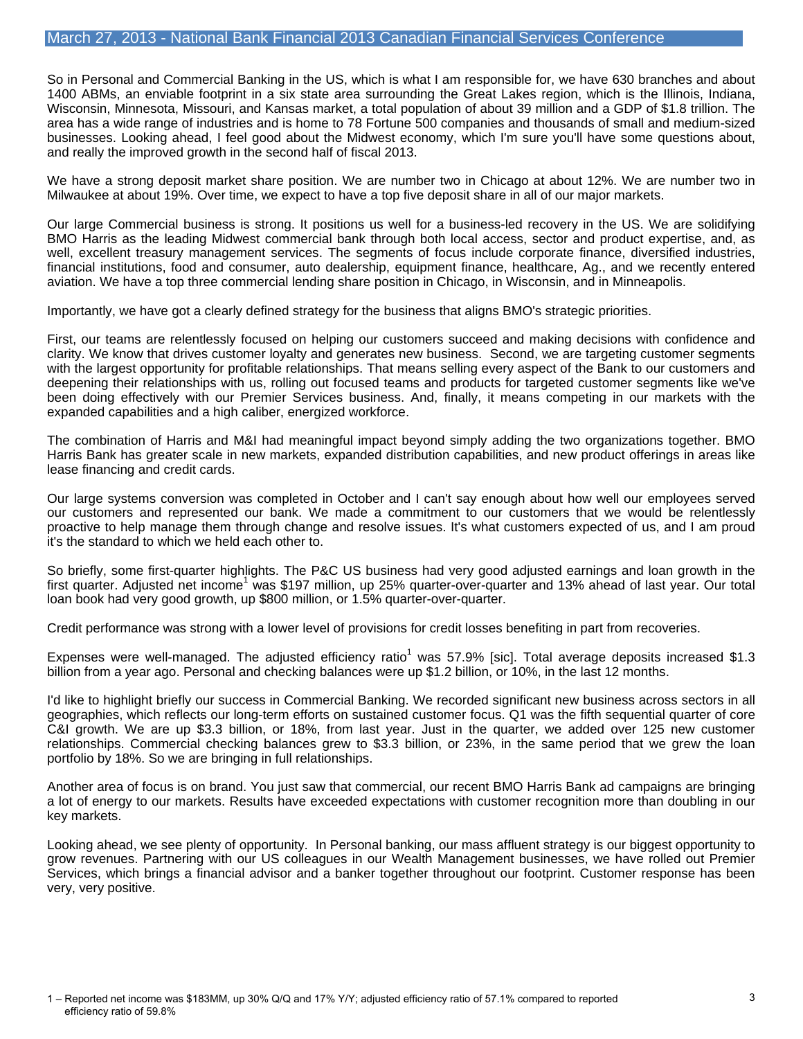So in Personal and Commercial Banking in the US, which is what I am responsible for, we have 630 branches and about 1400 ABMs, an enviable footprint in a six state area surrounding the Great Lakes region, which is the Illinois, Indiana, Wisconsin, Minnesota, Missouri, and Kansas market, a total population of about 39 million and a GDP of \$1.8 trillion. The area has a wide range of industries and is home to 78 Fortune 500 companies and thousands of small and medium-sized businesses. Looking ahead, I feel good about the Midwest economy, which I'm sure you'll have some questions about, and really the improved growth in the second half of fiscal 2013.

We have a strong deposit market share position. We are number two in Chicago at about 12%. We are number two in Milwaukee at about 19%. Over time, we expect to have a top five deposit share in all of our major markets.

Our large Commercial business is strong. It positions us well for a business-led recovery in the US. We are solidifying BMO Harris as the leading Midwest commercial bank through both local access, sector and product expertise, and, as well, excellent treasury management services. The segments of focus include corporate finance, diversified industries, financial institutions, food and consumer, auto dealership, equipment finance, healthcare, Ag., and we recently entered aviation. We have a top three commercial lending share position in Chicago, in Wisconsin, and in Minneapolis.

Importantly, we have got a clearly defined strategy for the business that aligns BMO's strategic priorities.

First, our teams are relentlessly focused on helping our customers succeed and making decisions with confidence and clarity. We know that drives customer loyalty and generates new business. Second, we are targeting customer segments with the largest opportunity for profitable relationships. That means selling every aspect of the Bank to our customers and deepening their relationships with us, rolling out focused teams and products for targeted customer segments like we've been doing effectively with our Premier Services business. And, finally, it means competing in our markets with the expanded capabilities and a high caliber, energized workforce.

The combination of Harris and M&I had meaningful impact beyond simply adding the two organizations together. BMO Harris Bank has greater scale in new markets, expanded distribution capabilities, and new product offerings in areas like lease financing and credit cards.

Our large systems conversion was completed in October and I can't say enough about how well our employees served our customers and represented our bank. We made a commitment to our customers that we would be relentlessly proactive to help manage them through change and resolve issues. It's what customers expected of us, and I am proud it's the standard to which we held each other to.

So briefly, some first-quarter highlights. The P&C US business had very good adjusted earnings and loan growth in the first quarter. Adjusted net income<sup>1</sup> was \$197 million, up 25% quarter-over-quarter and 13% ahead of last year. Our total loan book had very good growth, up \$800 million, or 1.5% quarter-over-quarter.

Credit performance was strong with a lower level of provisions for credit losses benefiting in part from recoveries.

Expenses were well-managed. The adjusted efficiency ratio<sup>1</sup> was 57.9% [sic]. Total average deposits increased \$1.3 billion from a year ago. Personal and checking balances were up \$1.2 billion, or 10%, in the last 12 months.

I'd like to highlight briefly our success in Commercial Banking. We recorded significant new business across sectors in all geographies, which reflects our long-term efforts on sustained customer focus. Q1 was the fifth sequential quarter of core C&I growth. We are up \$3.3 billion, or 18%, from last year. Just in the quarter, we added over 125 new customer relationships. Commercial checking balances grew to \$3.3 billion, or 23%, in the same period that we grew the loan portfolio by 18%. So we are bringing in full relationships.

Another area of focus is on brand. You just saw that commercial, our recent BMO Harris Bank ad campaigns are bringing a lot of energy to our markets. Results have exceeded expectations with customer recognition more than doubling in our key markets.

Looking ahead, we see plenty of opportunity. In Personal banking, our mass affluent strategy is our biggest opportunity to grow revenues. Partnering with our US colleagues in our Wealth Management businesses, we have rolled out Premier Services, which brings a financial advisor and a banker together throughout our footprint. Customer response has been very, very positive.

1 – Reported net income was \$183MM, up 30% Q/Q and 17% Y/Y; adjusted efficiency ratio of 57.1% compared to reported 3 efficiency ratio of 59.8%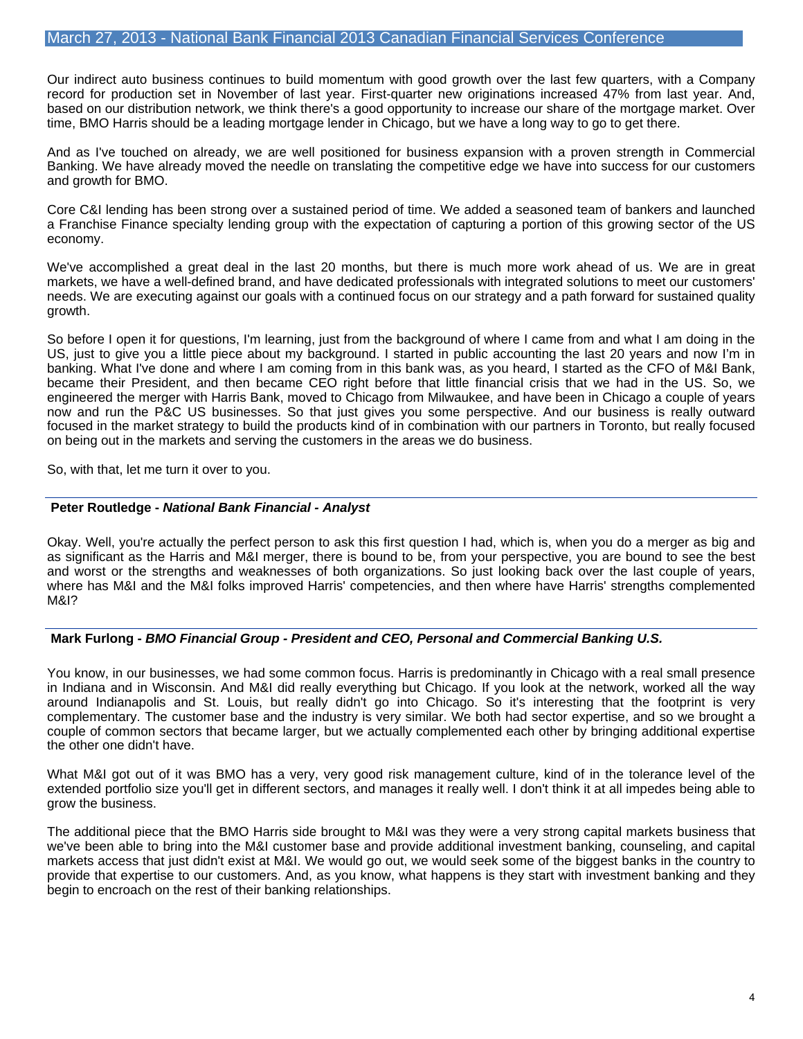Our indirect auto business continues to build momentum with good growth over the last few quarters, with a Company record for production set in November of last year. First-quarter new originations increased 47% from last year. And, based on our distribution network, we think there's a good opportunity to increase our share of the mortgage market. Over time, BMO Harris should be a leading mortgage lender in Chicago, but we have a long way to go to get there.

And as I've touched on already, we are well positioned for business expansion with a proven strength in Commercial Banking. We have already moved the needle on translating the competitive edge we have into success for our customers and growth for BMO.

Core C&I lending has been strong over a sustained period of time. We added a seasoned team of bankers and launched a Franchise Finance specialty lending group with the expectation of capturing a portion of this growing sector of the US economy.

We've accomplished a great deal in the last 20 months, but there is much more work ahead of us. We are in great markets, we have a well-defined brand, and have dedicated professionals with integrated solutions to meet our customers' needs. We are executing against our goals with a continued focus on our strategy and a path forward for sustained quality growth.

So before I open it for questions, I'm learning, just from the background of where I came from and what I am doing in the US, just to give you a little piece about my background. I started in public accounting the last 20 years and now I'm in banking. What I've done and where I am coming from in this bank was, as you heard, I started as the CFO of M&I Bank, became their President, and then became CEO right before that little financial crisis that we had in the US. So, we engineered the merger with Harris Bank, moved to Chicago from Milwaukee, and have been in Chicago a couple of years now and run the P&C US businesses. So that just gives you some perspective. And our business is really outward focused in the market strategy to build the products kind of in combination with our partners in Toronto, but really focused on being out in the markets and serving the customers in the areas we do business.

So, with that, let me turn it over to you.

# **Peter Routledge -** *National Bank Financial - Analyst*

Okay. Well, you're actually the perfect person to ask this first question I had, which is, when you do a merger as big and as significant as the Harris and M&I merger, there is bound to be, from your perspective, you are bound to see the best and worst or the strengths and weaknesses of both organizations. So just looking back over the last couple of years, where has M&I and the M&I folks improved Harris' competencies, and then where have Harris' strengths complemented M&I?

# **Mark Furlong -** *BMO Financial Group - President and CEO, Personal and Commercial Banking U.S.*

You know, in our businesses, we had some common focus. Harris is predominantly in Chicago with a real small presence in Indiana and in Wisconsin. And M&I did really everything but Chicago. If you look at the network, worked all the way around Indianapolis and St. Louis, but really didn't go into Chicago. So it's interesting that the footprint is very complementary. The customer base and the industry is very similar. We both had sector expertise, and so we brought a couple of common sectors that became larger, but we actually complemented each other by bringing additional expertise the other one didn't have.

What M&I got out of it was BMO has a very, very good risk management culture, kind of in the tolerance level of the extended portfolio size you'll get in different sectors, and manages it really well. I don't think it at all impedes being able to grow the business.

The additional piece that the BMO Harris side brought to M&I was they were a very strong capital markets business that we've been able to bring into the M&I customer base and provide additional investment banking, counseling, and capital markets access that just didn't exist at M&I. We would go out, we would seek some of the biggest banks in the country to provide that expertise to our customers. And, as you know, what happens is they start with investment banking and they begin to encroach on the rest of their banking relationships.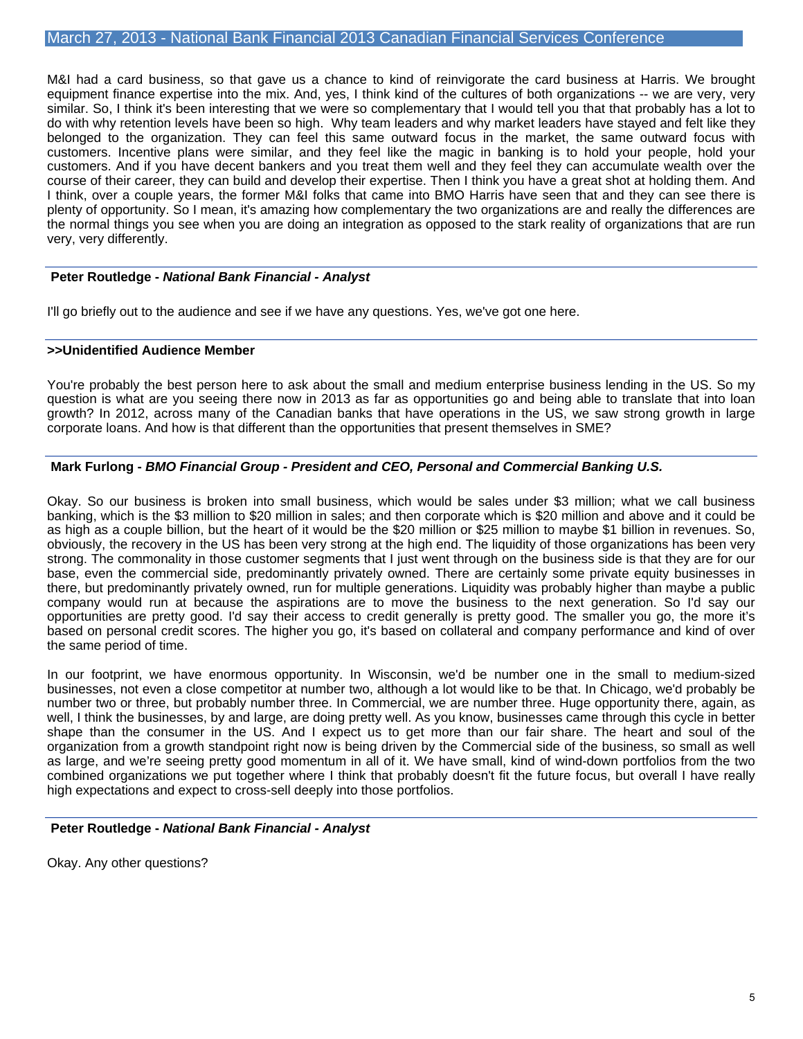M&I had a card business, so that gave us a chance to kind of reinvigorate the card business at Harris. We brought equipment finance expertise into the mix. And, yes, I think kind of the cultures of both organizations -- we are very, very similar. So, I think it's been interesting that we were so complementary that I would tell you that that probably has a lot to do with why retention levels have been so high. Why team leaders and why market leaders have stayed and felt like they belonged to the organization. They can feel this same outward focus in the market, the same outward focus with customers. Incentive plans were similar, and they feel like the magic in banking is to hold your people, hold your customers. And if you have decent bankers and you treat them well and they feel they can accumulate wealth over the course of their career, they can build and develop their expertise. Then I think you have a great shot at holding them. And I think, over a couple years, the former M&I folks that came into BMO Harris have seen that and they can see there is plenty of opportunity. So I mean, it's amazing how complementary the two organizations are and really the differences are the normal things you see when you are doing an integration as opposed to the stark reality of organizations that are run very, very differently.

### **Peter Routledge -** *National Bank Financial - Analyst*

I'll go briefly out to the audience and see if we have any questions. Yes, we've got one here.

#### **>>Unidentified Audience Member**

You're probably the best person here to ask about the small and medium enterprise business lending in the US. So my question is what are you seeing there now in 2013 as far as opportunities go and being able to translate that into loan growth? In 2012, across many of the Canadian banks that have operations in the US, we saw strong growth in large corporate loans. And how is that different than the opportunities that present themselves in SME?

### **Mark Furlong -** *BMO Financial Group - President and CEO, Personal and Commercial Banking U.S.*

Okay. So our business is broken into small business, which would be sales under \$3 million; what we call business banking, which is the \$3 million to \$20 million in sales; and then corporate which is \$20 million and above and it could be as high as a couple billion, but the heart of it would be the \$20 million or \$25 million to maybe \$1 billion in revenues. So, obviously, the recovery in the US has been very strong at the high end. The liquidity of those organizations has been very strong. The commonality in those customer segments that I just went through on the business side is that they are for our base, even the commercial side, predominantly privately owned. There are certainly some private equity businesses in there, but predominantly privately owned, run for multiple generations. Liquidity was probably higher than maybe a public company would run at because the aspirations are to move the business to the next generation. So I'd say our opportunities are pretty good. I'd say their access to credit generally is pretty good. The smaller you go, the more it's based on personal credit scores. The higher you go, it's based on collateral and company performance and kind of over the same period of time.

In our footprint, we have enormous opportunity. In Wisconsin, we'd be number one in the small to medium-sized businesses, not even a close competitor at number two, although a lot would like to be that. In Chicago, we'd probably be number two or three, but probably number three. In Commercial, we are number three. Huge opportunity there, again, as well, I think the businesses, by and large, are doing pretty well. As you know, businesses came through this cycle in better shape than the consumer in the US. And I expect us to get more than our fair share. The heart and soul of the organization from a growth standpoint right now is being driven by the Commercial side of the business, so small as well as large, and we're seeing pretty good momentum in all of it. We have small, kind of wind-down portfolios from the two combined organizations we put together where I think that probably doesn't fit the future focus, but overall I have really high expectations and expect to cross-sell deeply into those portfolios.

#### **Peter Routledge -** *National Bank Financial - Analyst*

Okay. Any other questions?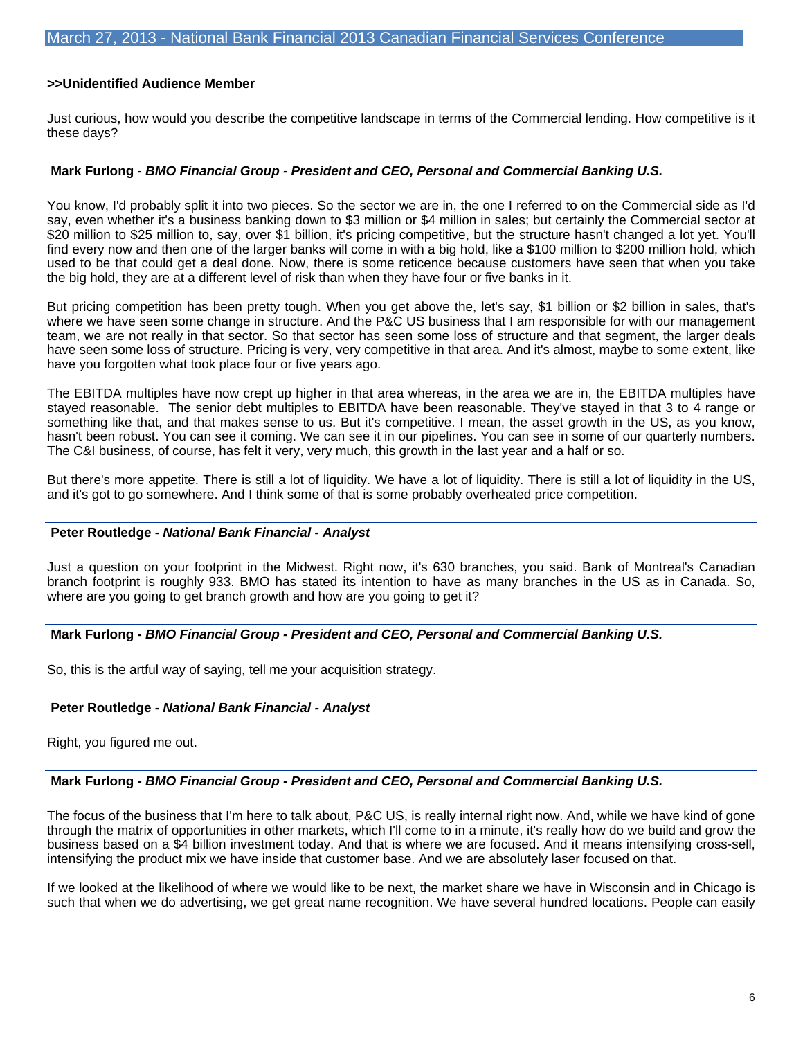### **>>Unidentified Audience Member**

Just curious, how would you describe the competitive landscape in terms of the Commercial lending. How competitive is it these days?

### **Mark Furlong -** *BMO Financial Group - President and CEO, Personal and Commercial Banking U.S.*

You know, I'd probably split it into two pieces. So the sector we are in, the one I referred to on the Commercial side as I'd say, even whether it's a business banking down to \$3 million or \$4 million in sales; but certainly the Commercial sector at \$20 million to \$25 million to, say, over \$1 billion, it's pricing competitive, but the structure hasn't changed a lot yet. You'll find every now and then one of the larger banks will come in with a big hold, like a \$100 million to \$200 million hold, which used to be that could get a deal done. Now, there is some reticence because customers have seen that when you take the big hold, they are at a different level of risk than when they have four or five banks in it.

But pricing competition has been pretty tough. When you get above the, let's say, \$1 billion or \$2 billion in sales, that's where we have seen some change in structure. And the P&C US business that I am responsible for with our management team, we are not really in that sector. So that sector has seen some loss of structure and that segment, the larger deals have seen some loss of structure. Pricing is very, very competitive in that area. And it's almost, maybe to some extent, like have you forgotten what took place four or five years ago.

The EBITDA multiples have now crept up higher in that area whereas, in the area we are in, the EBITDA multiples have stayed reasonable. The senior debt multiples to EBITDA have been reasonable. They've stayed in that 3 to 4 range or something like that, and that makes sense to us. But it's competitive. I mean, the asset growth in the US, as you know, hasn't been robust. You can see it coming. We can see it in our pipelines. You can see in some of our quarterly numbers. The C&I business, of course, has felt it very, very much, this growth in the last year and a half or so.

But there's more appetite. There is still a lot of liquidity. We have a lot of liquidity. There is still a lot of liquidity in the US, and it's got to go somewhere. And I think some of that is some probably overheated price competition.

#### **Peter Routledge -** *National Bank Financial - Analyst*

Just a question on your footprint in the Midwest. Right now, it's 630 branches, you said. Bank of Montreal's Canadian branch footprint is roughly 933. BMO has stated its intention to have as many branches in the US as in Canada. So, where are you going to get branch growth and how are you going to get it?

#### **Mark Furlong -** *BMO Financial Group - President and CEO, Personal and Commercial Banking U.S.*

So, this is the artful way of saying, tell me your acquisition strategy.

# **Peter Routledge -** *National Bank Financial - Analyst*

Right, you figured me out.

#### **Mark Furlong -** *BMO Financial Group - President and CEO, Personal and Commercial Banking U.S.*

The focus of the business that I'm here to talk about, P&C US, is really internal right now. And, while we have kind of gone through the matrix of opportunities in other markets, which I'll come to in a minute, it's really how do we build and grow the business based on a \$4 billion investment today. And that is where we are focused. And it means intensifying cross-sell, intensifying the product mix we have inside that customer base. And we are absolutely laser focused on that.

If we looked at the likelihood of where we would like to be next, the market share we have in Wisconsin and in Chicago is such that when we do advertising, we get great name recognition. We have several hundred locations. People can easily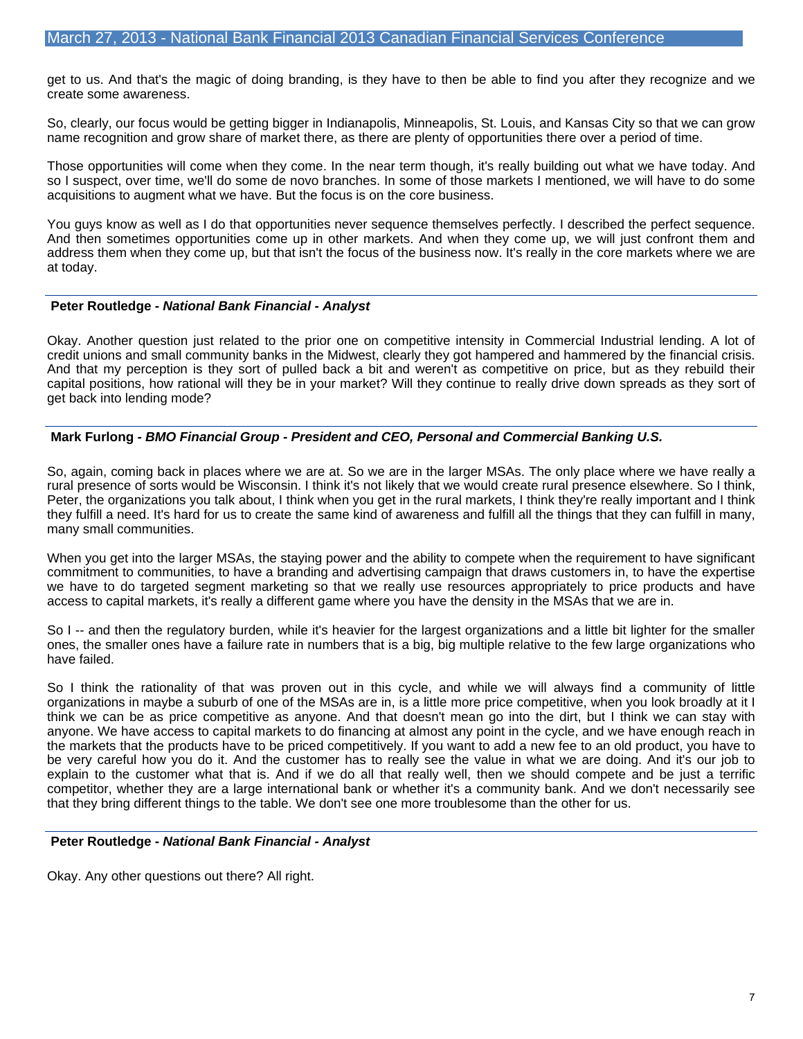get to us. And that's the magic of doing branding, is they have to then be able to find you after they recognize and we create some awareness.

So, clearly, our focus would be getting bigger in Indianapolis, Minneapolis, St. Louis, and Kansas City so that we can grow name recognition and grow share of market there, as there are plenty of opportunities there over a period of time.

Those opportunities will come when they come. In the near term though, it's really building out what we have today. And so I suspect, over time, we'll do some de novo branches. In some of those markets I mentioned, we will have to do some acquisitions to augment what we have. But the focus is on the core business.

You guys know as well as I do that opportunities never sequence themselves perfectly. I described the perfect sequence. And then sometimes opportunities come up in other markets. And when they come up, we will just confront them and address them when they come up, but that isn't the focus of the business now. It's really in the core markets where we are at today.

### **Peter Routledge -** *National Bank Financial - Analyst*

Okay. Another question just related to the prior one on competitive intensity in Commercial Industrial lending. A lot of credit unions and small community banks in the Midwest, clearly they got hampered and hammered by the financial crisis. And that my perception is they sort of pulled back a bit and weren't as competitive on price, but as they rebuild their capital positions, how rational will they be in your market? Will they continue to really drive down spreads as they sort of get back into lending mode?

# **Mark Furlong -** *BMO Financial Group - President and CEO, Personal and Commercial Banking U.S.*

So, again, coming back in places where we are at. So we are in the larger MSAs. The only place where we have really a rural presence of sorts would be Wisconsin. I think it's not likely that we would create rural presence elsewhere. So I think, Peter, the organizations you talk about, I think when you get in the rural markets, I think they're really important and I think they fulfill a need. It's hard for us to create the same kind of awareness and fulfill all the things that they can fulfill in many, many small communities.

When you get into the larger MSAs, the staying power and the ability to compete when the requirement to have significant commitment to communities, to have a branding and advertising campaign that draws customers in, to have the expertise we have to do targeted segment marketing so that we really use resources appropriately to price products and have access to capital markets, it's really a different game where you have the density in the MSAs that we are in.

So I -- and then the regulatory burden, while it's heavier for the largest organizations and a little bit lighter for the smaller ones, the smaller ones have a failure rate in numbers that is a big, big multiple relative to the few large organizations who have failed.

So I think the rationality of that was proven out in this cycle, and while we will always find a community of little organizations in maybe a suburb of one of the MSAs are in, is a little more price competitive, when you look broadly at it I think we can be as price competitive as anyone. And that doesn't mean go into the dirt, but I think we can stay with anyone. We have access to capital markets to do financing at almost any point in the cycle, and we have enough reach in the markets that the products have to be priced competitively. If you want to add a new fee to an old product, you have to be very careful how you do it. And the customer has to really see the value in what we are doing. And it's our job to explain to the customer what that is. And if we do all that really well, then we should compete and be just a terrific competitor, whether they are a large international bank or whether it's a community bank. And we don't necessarily see that they bring different things to the table. We don't see one more troublesome than the other for us.

# **Peter Routledge -** *National Bank Financial - Analyst*

Okay. Any other questions out there? All right.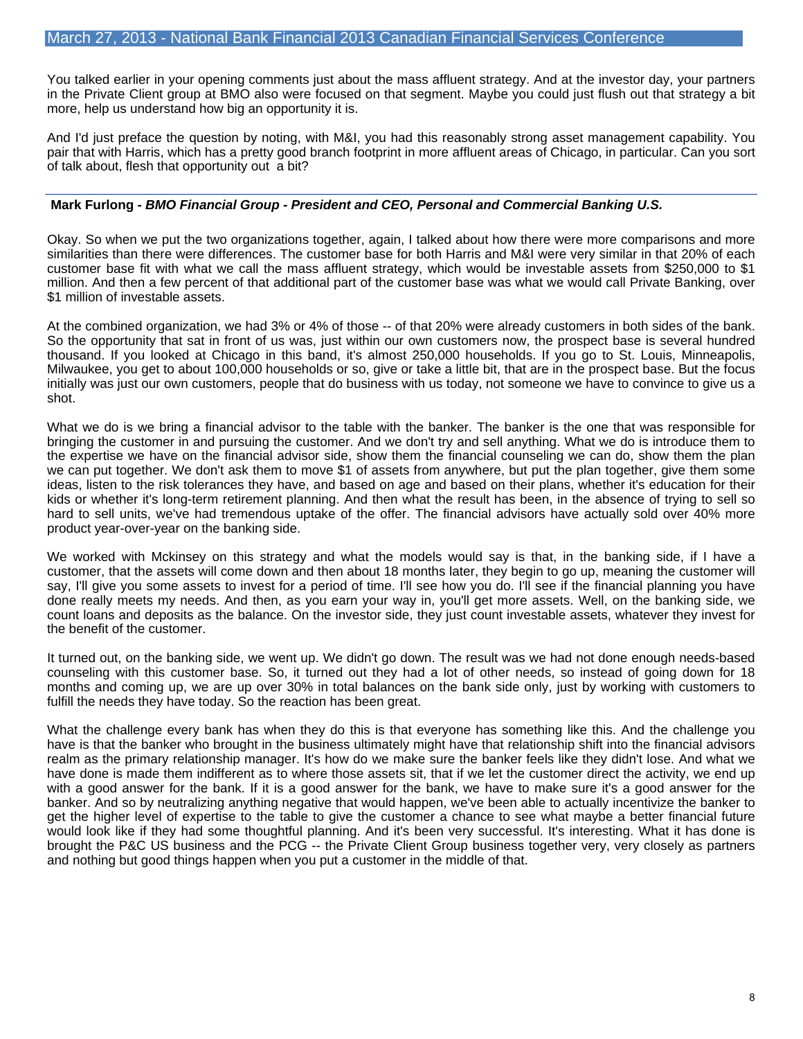You talked earlier in your opening comments just about the mass affluent strategy. And at the investor day, your partners in the Private Client group at BMO also were focused on that segment. Maybe you could just flush out that strategy a bit more, help us understand how big an opportunity it is.

And I'd just preface the question by noting, with M&I, you had this reasonably strong asset management capability. You pair that with Harris, which has a pretty good branch footprint in more affluent areas of Chicago, in particular. Can you sort of talk about, flesh that opportunity out a bit?

### **Mark Furlong -** *BMO Financial Group - President and CEO, Personal and Commercial Banking U.S.*

Okay. So when we put the two organizations together, again, I talked about how there were more comparisons and more similarities than there were differences. The customer base for both Harris and M&I were very similar in that 20% of each customer base fit with what we call the mass affluent strategy, which would be investable assets from \$250,000 to \$1 million. And then a few percent of that additional part of the customer base was what we would call Private Banking, over \$1 million of investable assets.

At the combined organization, we had 3% or 4% of those -- of that 20% were already customers in both sides of the bank. So the opportunity that sat in front of us was, just within our own customers now, the prospect base is several hundred thousand. If you looked at Chicago in this band, it's almost 250,000 households. If you go to St. Louis, Minneapolis, Milwaukee, you get to about 100,000 households or so, give or take a little bit, that are in the prospect base. But the focus initially was just our own customers, people that do business with us today, not someone we have to convince to give us a shot.

What we do is we bring a financial advisor to the table with the banker. The banker is the one that was responsible for bringing the customer in and pursuing the customer. And we don't try and sell anything. What we do is introduce them to the expertise we have on the financial advisor side, show them the financial counseling we can do, show them the plan we can put together. We don't ask them to move \$1 of assets from anywhere, but put the plan together, give them some ideas, listen to the risk tolerances they have, and based on age and based on their plans, whether it's education for their kids or whether it's long-term retirement planning. And then what the result has been, in the absence of trying to sell so hard to sell units, we've had tremendous uptake of the offer. The financial advisors have actually sold over 40% more product year-over-year on the banking side.

We worked with Mckinsey on this strategy and what the models would say is that, in the banking side, if I have a customer, that the assets will come down and then about 18 months later, they begin to go up, meaning the customer will say, I'll give you some assets to invest for a period of time. I'll see how you do. I'll see if the financial planning you have done really meets my needs. And then, as you earn your way in, you'll get more assets. Well, on the banking side, we count loans and deposits as the balance. On the investor side, they just count investable assets, whatever they invest for the benefit of the customer.

It turned out, on the banking side, we went up. We didn't go down. The result was we had not done enough needs-based counseling with this customer base. So, it turned out they had a lot of other needs, so instead of going down for 18 months and coming up, we are up over 30% in total balances on the bank side only, just by working with customers to fulfill the needs they have today. So the reaction has been great.

What the challenge every bank has when they do this is that everyone has something like this. And the challenge you have is that the banker who brought in the business ultimately might have that relationship shift into the financial advisors realm as the primary relationship manager. It's how do we make sure the banker feels like they didn't lose. And what we have done is made them indifferent as to where those assets sit, that if we let the customer direct the activity, we end up with a good answer for the bank. If it is a good answer for the bank, we have to make sure it's a good answer for the banker. And so by neutralizing anything negative that would happen, we've been able to actually incentivize the banker to get the higher level of expertise to the table to give the customer a chance to see what maybe a better financial future would look like if they had some thoughtful planning. And it's been very successful. It's interesting. What it has done is brought the P&C US business and the PCG -- the Private Client Group business together very, very closely as partners and nothing but good things happen when you put a customer in the middle of that.